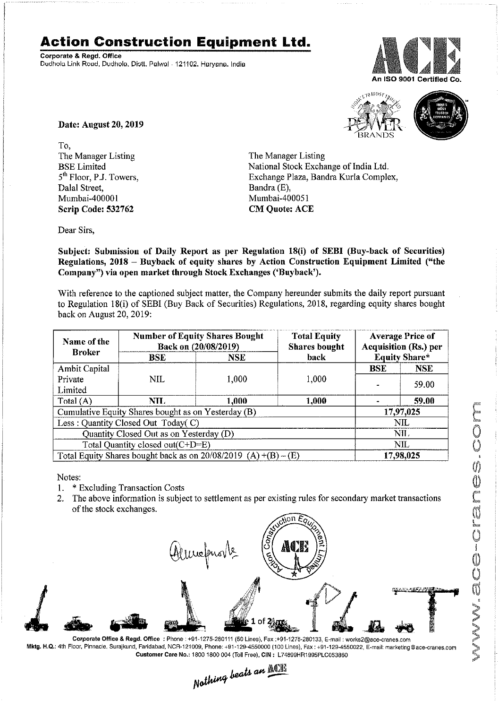## **Action Construction Equipment Ltd.**

Corporate & Regd. Office Dudhola Link Road, Dudhola, Distt. Palwal - 121102. Haryana. India







Date: August 20, 2019

To, The Manager Listing BSE Limited 5<sup>th</sup> Floor, P.J. Towers, Dalal Street, Mumbai-400001 Scrip Code: 532762

The Manager Listing National Stock Exchange of India Ltd. Exchange Plaza, Bandra Kurla Complex, Bandra (E), Mumbai-400051 CM Quote: ACE

Dear Sirs,

Subject: Submission of Daily Report as per Regulation 18(i) of SEBI (Buy-back of Securities) Regulations, 2018 - Buyback of equity shares by Action Construction Equipment Limited ("the Company") via open market through Stock Exchanges ('Buyback').

With reference to the captioned subject matter, the Company hereunder submits the daily report pursuant to Regulation 18(i) of SEBI (Buy Back of Securities) Regulations, 2018, regarding equity shares bought back on August 20, 2019:

| Name of the<br><b>Broker</b>                                      | <b>Number of Equity Shares Bought</b><br>Back on (20/08/2019) |       | <b>Total Equity</b><br><b>Shares bought</b> | <b>Average Price of</b><br><b>Acquisition (Rs.) per</b> |            |
|-------------------------------------------------------------------|---------------------------------------------------------------|-------|---------------------------------------------|---------------------------------------------------------|------------|
|                                                                   | <b>BSE</b>                                                    | NSE   | back                                        | <b>Equity Share*</b>                                    |            |
| Ambit Capital                                                     |                                                               |       |                                             | <b>BSE</b>                                              | <b>NSE</b> |
| Private                                                           | NIL                                                           | 1,000 | 1,000                                       |                                                         | 59.00      |
| Limited                                                           |                                                               |       |                                             |                                                         |            |
| Total (A)                                                         | NH.                                                           | 1.000 | 1,000                                       |                                                         | 59.00      |
| Cumulative Equity Shares bought as on Yesterday (B)               |                                                               |       |                                             | 17,97,025                                               |            |
| Less: Quantity Closed Out Today(C)                                |                                                               |       |                                             | <b>NIL</b>                                              |            |
| Quantity Closed Out as on Yesterday (D)                           |                                                               |       |                                             | NII.                                                    |            |
| Total Quantity closed out(C+D=E)                                  |                                                               |       |                                             | NIL.                                                    |            |
| Total Equity Shares bought back as on $20/08/2019$ (A) +(B) – (E) |                                                               |       |                                             | 17,98,025                                               |            |

Notes:

- 1. \* Excluding Transaction Costs
- 2. The above information is subject to settlement as per existing rules for secondary market transactions of the stock exchanges.



Corporale Office & Regd. Office: Phone: +91-1275-280111 *(50* Lines),Fax:+91-1275-280133, E-mail: works2@ace-cranes.com Mktg. H.Q.: 4th Floor, Pinnacle, Surajkund, Faridabad, NCR-121009, Phone: +91-129-4550000 (100 Lines), Fax: +91-129-4550022, E-mail: marketing@ace-cranes.com

Customer Care No.: 1800 1800 004 (Toll Free), CIN: L74899HR1995PLC053860<br>Nathing beats an  $\frac{\text{min}}{\text{min}}$